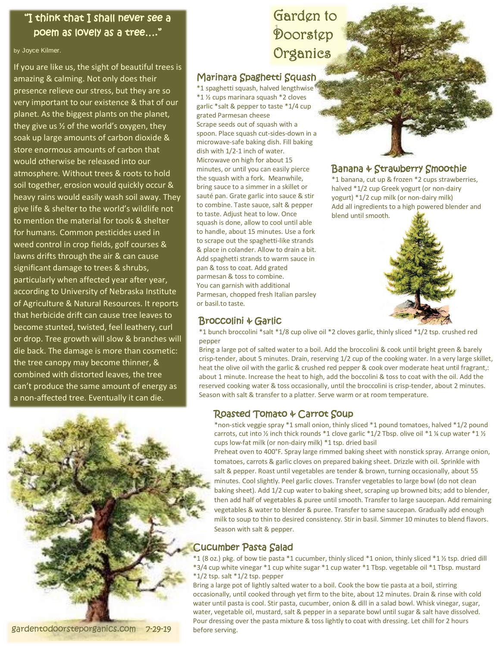#### "I think that I shall never see a poem as lovely as a tree…."

#### by Joyce Kilmer.

If you are like us, the sight of beautiful trees is amazing & calming. Not only does their presence relieve our stress, but they are so very important to our existence & that of our planet. As the biggest plants on the planet, they give us  $\frac{1}{2}$  of the world's oxygen, they soak up large amounts of carbon dioxide & store enormous amounts of carbon that would otherwise be released into our atmosphere. Without trees & roots to hold soil together, erosion would quickly occur & heavy rains would easily wash soil away. They give life & shelter to the world's wildlife not to mention the material for tools & shelter for humans. Common pesticides used in weed control in crop fields, golf courses & lawns drifts through the air & can cause significant damage to trees & shrubs, particularly when affected year after year, according to University of Nebraska Institute of Agriculture & Natural Resources. It reports that herbicide drift can cause tree leaves to become stunted, twisted, feel leathery, curl or drop. Tree growth will slow & branches will die back. The damage is more than cosmetic: the tree canopy may become thinner, & combined with distorted leaves, the tree can't produce the same amount of energy as a non-affected tree. Eventually it can die.

### 1. Doorstep Garden to Organics

#### Marinara Spaghetti Squash

\*1 spaghetti squash, halved lengthwise \*1 ½ cups marinara squash \*2 cloves garlic \*salt & pepper to taste \*1/4 cup grated Parmesan cheese Scrape seeds out of squash with a spoon. Place squash cut-sides-down in a microwave-safe baking dish. Fill baking dish with 1/2-1 inch of water. Microwave on high for about 15 minutes, or until you can easily pierce the squash with a fork. Meanwhile, bring sauce to a simmer in a skillet or sauté pan. Grate garlic into sauce & stir to combine. Taste sauce, salt & pepper to taste. Adjust heat to low. Once squash is done, allow to cool until able to handle, about 15 minutes. Use a fork to scrape out the spaghetti-like strands & place in colander. Allow to drain a bit. Add spaghetti strands to warm sauce in pan & toss to coat. Add grated parmesan & toss to combine. You can garnish with additional Parmesan, chopped fresh Italian parsley or basil.to taste.

#### Broccolini & Garlic

# Banana & Strawberry Smoothie

\*1 banana, cut up & frozen \*2 cups strawberries, halved \*1/2 cup Greek yogurt (or non-dairy yogurt) \*1/2 cup milk (or non-dairy milk) Add all ingredients to a high powered blender and blend until smooth.



\*1 bunch broccolini \*salt \*1/8 cup olive oil \*2 cloves garlic, thinly sliced \*1/2 tsp. crushed red pepper

Bring a large pot of salted water to a boil. Add the broccolini & cook until bright green & barely crisp-tender, about 5 minutes. Drain, reserving 1/2 cup of the cooking water. In a very large skillet, heat the olive oil with the garlic & crushed red pepper & cook over moderate heat until fragrant,: about 1 minute. Increase the heat to high, add the boccolini & toss to coat with the oil. Add the reserved cooking water & toss occasionally, until the broccolini is crisp-tender, about 2 minutes. Season with salt & transfer to a platter. Serve warm or at room temperature.

#### Roasted Tomato & Carrot Soup

\*non-stick veggie spray \*1 small onion, thinly sliced \*1 pound tomatoes, halved \*1/2 pound carrots, cut into ½ inch thick rounds \*1 clove garlic \*1/2 Tbsp. olive oil \*1 ¼ cup water \*1 ½ cups low-fat milk (or non-dairy milk) \*1 tsp. dried basil

Preheat oven to 400°F. Spray large rimmed baking sheet with nonstick spray. Arrange onion, tomatoes, carrots & garlic cloves on prepared baking sheet. Drizzle with oil. Sprinkle with salt & pepper. Roast until vegetables are tender & brown, turning occasionally, about 55 minutes. Cool slightly. Peel garlic cloves. Transfer vegetables to large bowl (do not clean baking sheet). Add 1/2 cup water to baking sheet, scraping up browned bits; add to blender, then add half of vegetables & puree until smooth. Transfer to large saucepan. Add remaining vegetables & water to blender & puree. Transfer to same saucepan. Gradually add enough milk to soup to thin to desired consistency. Stir in basil. Simmer 10 minutes to blend flavors. Season with salt & pepper.

#### Cucumber Pasta Salad

\*1 (8 oz.) pkg. of bow tie pasta \*1 cucumber, thinly sliced \*1 onion, thinly sliced \*1 ½ tsp. dried dill \*3/4 cup white vinegar \*1 cup white sugar \*1 cup water \*1 Tbsp. vegetable oil \*1 Tbsp. mustard  $*1/2$  tsp. salt  $*1/2$  tsp. pepper

Bring a large pot of lightly salted water to a boil. Cook the bow tie pasta at a boil, stirring occasionally, until cooked through yet firm to the bite, about 12 minutes. Drain & rinse with cold water until pasta is cool. Stir pasta, cucumber, onion & dill in a salad bowl. Whisk vinegar, sugar, water, vegetable oil, mustard, salt & pepper in a separate bowl until sugar & salt have dissolved. Pour dressing over the pasta mixture & toss lightly to coat with dressing. Let chill for 2 hours before serving.